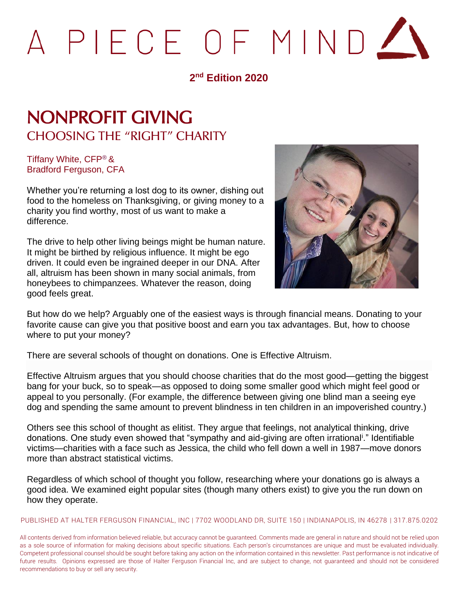# PIECE OF MINDZ

#### **2 nd Edition 2020**

## NONPROFIT GIVING CHOOSING THE "RIGHT" CHARITY

Tiffany White, CFP® & Bradford Ferguson, CFA

Whether you're returning a lost dog to its owner, dishing out food to the homeless on Thanksgiving, or giving money to a charity you find worthy, most of us want to make a difference.

The drive to help other living beings might be human nature. It might be birthed by religious influence. It might be ego driven. It could even be ingrained deeper in our DNA. After all, altruism has been shown in many social animals, from honeybees to chimpanzees. Whatever the reason, doing good feels great.



But how do we help? Arguably one of the easiest ways is through financial means. Donating to your favorite cause can give you that positive boost and earn you tax advantages. But, how to choose where to put your money?

There are several schools of thought on donations. One is Effective Altruism.

Effective Altruism argues that you should choose charities that do the most good—getting the biggest bang for your buck, so to speak—as opposed to doing some smaller good which might feel good or appeal to you personally. (For example, the difference between giving one blind man a seeing eye dog and spending the same amount to prevent blindness in ten children in an impoverished country.)

Others see this school of thought as elitist. They argue that feelings, not analytical thinking, drive donations. One study even showed that "sympathy and aid-giving are often irrational<sup>i</sup>." Identifiable victims—charities with a face such as Jessica, the child who fell down a well in 1987—move donors more than abstract statistical victims.

Regardless of which school of thought you follow, researching where your donations go is always a good idea. We examined eight popular sites (though many others exist) to give you the run down on how they operate.

PUBLISHED AT HALTER FERGUSON FINANCIAL, INC | 7702 WOODLAND DR, SUITE 150 | INDIANAPOLIS, IN 46278 | 317.875.0202

All contents derived from information believed reliable, but accuracy cannot be guaranteed. Comments made are general in nature and should not be relied upon as a sole source of information for making decisions about specific situations. Each person's circumstances are unique and must be evaluated individually. Competent professional counsel should be sought before taking any action on the information contained in this newsletter. Past performance is not indicative of future results. Opinions expressed are those of Halter Ferguson Financial Inc, and are subject to change, not guaranteed and should not be considered recommendations to buy or sell any security.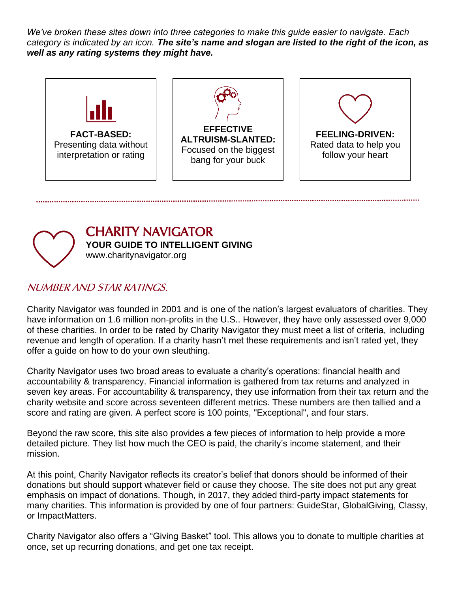*We've broken these sites down into three categories to make this guide easier to navigate. Each category is indicated by an icon. The site's name and slogan are listed to the right of the icon, as well as any rating systems they might have.*





## CHARITY NAVIGATOR

**YOUR GUIDE TO INTELLIGENT GIVING**

www.charitynavigator.org

#### NUMBER AND STAR RATINGS.

Charity Navigator was founded in 2001 and is one of the nation's largest evaluators of charities. They have information on 1.6 million non-profits in the U.S.. However, they have only assessed over 9,000 of these charities. In order to be rated by Charity Navigator they must meet a list of criteria, including revenue and length of operation. If a charity hasn't met these requirements and isn't rated yet, they offer a guide on how to do your own sleuthing.

Charity Navigator uses two broad areas to evaluate a charity's operations: financial health and accountability & transparency. Financial information is gathered from tax returns and analyzed in seven key areas. For accountability & transparency, they use information from their tax return and the charity website and score across seventeen different metrics. These numbers are then tallied and a score and rating are given. A perfect score is 100 points, "Exceptional", and four stars.

Beyond the raw score, this site also provides a few pieces of information to help provide a more detailed picture. They list how much the CEO is paid, the charity's income statement, and their mission.

At this point, Charity Navigator reflects its creator's belief that donors should be informed of their donations but should support whatever field or cause they choose. The site does not put any great emphasis on impact of donations. Though, in 2017, they added third-party impact statements for many charities. This information is provided by one of four partners: GuideStar, GlobalGiving, Classy, or ImpactMatters.

Charity Navigator also offers a "Giving Basket" tool. This allows you to donate to multiple charities at once, set up recurring donations, and get one tax receipt.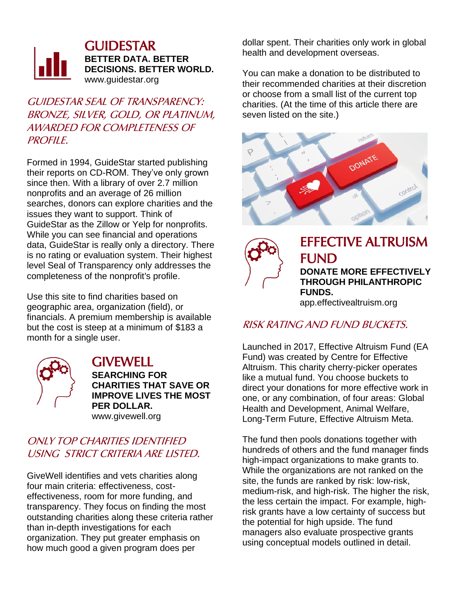

**GUIDESTAR BETTER DATA. BETTER DECISIONS. BETTER WORLD.** www.guidestar.org

GUIDESTAR SEAL OF TRANSPARENCY: BRONZE, SILVER, GOLD, OR PLATINUM, AWARDED FOR COMPLETENESS OF PROFILE.

Formed in 1994, GuideStar started publishing their reports on CD-ROM. They've only grown since then. With a library of over 2.7 million nonprofits and an average of 26 million searches, donors can explore charities and the issues they want to support. Think of GuideStar as the Zillow or Yelp for nonprofits. While you can see financial and operations data, GuideStar is really only a directory. There is no rating or evaluation system. Their highest level Seal of Transparency only addresses the completeness of the nonprofit's profile.

Use this site to find charities based on geographic area, organization (field), or financials. A premium membership is available but the cost is steep at a minimum of \$183 a month for a single user.



#### **GIVEWELL SEARCHING FOR CHARITIES THAT SAVE OR IMPROVE LIVES THE MOST PER DOLLAR.** www.givewell.org

#### ONLY TOP CHARITIES IDENTIFIED USING STRICT CRITERIA ARE LISTED.

GiveWell identifies and vets charities along four main criteria: effectiveness, costeffectiveness, room for more funding, and transparency. They focus on finding the most outstanding charities along these criteria rather than in-depth investigations for each organization. They put greater emphasis on how much good a given program does per

dollar spent. Their charities only work in global health and development overseas.

You can make a donation to be distributed to their recommended charities at their discretion or choose from a small list of the current top charities. (At the time of this article there are seven listed on the site.)





EFFECTIVE ALTRUISM FUND **DONATE MORE EFFECTIVELY THROUGH PHILANTHROPIC** 

**FUNDS.** app.effectivealtruism.org

#### RISK RATING AND FUND BUCKETS.

Launched in 2017, Effective Altruism Fund (EA Fund) was created by Centre for Effective Altruism. This charity cherry-picker operates like a mutual fund. You choose buckets to direct your donations for more effective work in one, or any combination, of four areas: Global Health and Development, Animal Welfare, Long-Term Future, Effective Altruism Meta.

The fund then pools donations together with hundreds of others and the fund manager finds high-impact organizations to make grants to. While the organizations are not ranked on the site, the funds are ranked by risk: low-risk, medium-risk, and high-risk. The higher the risk, the less certain the impact. For example, highrisk grants have a low certainty of success but the potential for high upside. The fund managers also evaluate prospective grants using conceptual models outlined in detail.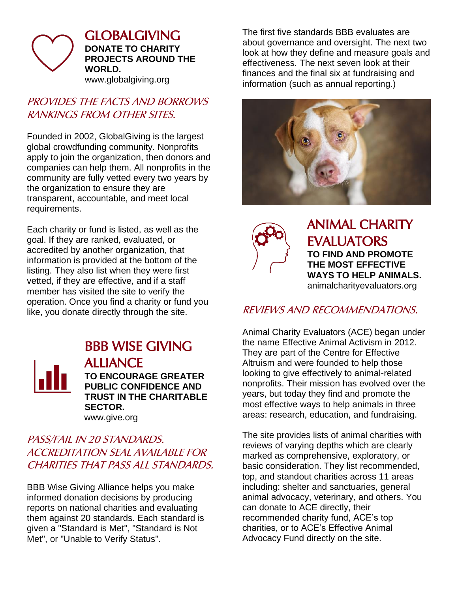

GLOBALGIVING **DONATE TO CHARITY PROJECTS AROUND THE WORLD.** www.globalgiving.org

#### PROVIDES THE FACTS AND BORROWS RANKINGS FROM OTHER SITES.

Founded in 2002, GlobalGiving is the largest global crowdfunding community. Nonprofits apply to join the organization, then donors and companies can help them. All nonprofits in the community are fully vetted every two years by the organization to ensure they are transparent, accountable, and meet local requirements.

Each charity or fund is listed, as well as the goal. If they are ranked, evaluated, or accredited by another organization, that information is provided at the bottom of the listing. They also list when they were first vetted, if they are effective, and if a staff member has visited the site to verify the operation. Once you find a charity or fund you like, you donate directly through the site.



#### BBB WISE GIVING ALLIANCE **TO ENCOURAGE GREATER PUBLIC CONFIDENCE AND TRUST IN THE CHARITABLE**

**SECTOR.** www.give.org

#### PASS/FAIL IN 20 STANDARDS. ACCREDITATION SEAL AVAILABLE FOR CHARITIES THAT PASS ALL STANDARDS.

BBB Wise Giving Alliance helps you make informed donation decisions by producing reports on national charities and evaluating them against 20 standards. Each standard is given a "Standard is Met", "Standard is Not Met", or "Unable to Verify Status".

The first five standards BBB evaluates are about governance and oversight. The next two look at how they define and measure goals and effectiveness. The next seven look at their finances and the final six at fundraising and information (such as annual reporting.)





ANIMAL CHARITY EVALUATORS **TO FIND AND PROMOTE THE MOST EFFECTIVE WAYS TO HELP ANIMALS.** animalcharityevaluators.org

#### REVIEWS AND RECOMMENDATIONS.

Animal Charity Evaluators (ACE) began under the name Effective Animal Activism in 2012. They are part of the Centre for Effective Altruism and were founded to help those looking to give effectively to animal-related nonprofits. Their mission has evolved over the years, but today they find and promote the most effective ways to help animals in three areas: research, education, and fundraising.

The site provides lists of animal charities with reviews of varying depths which are clearly marked as comprehensive, exploratory, or basic consideration. They list recommended, top, and standout charities across 11 areas including: shelter and sanctuaries, general animal advocacy, veterinary, and others. You can donate to ACE directly, their recommended charity fund, ACE's top charities, or to ACE's Effective Animal Advocacy Fund directly on the site.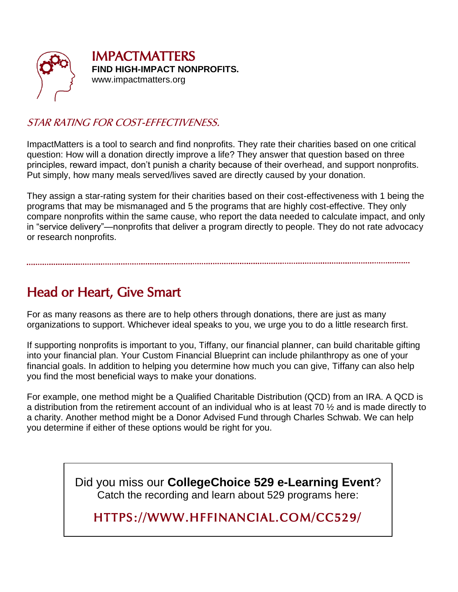

IMPACTMATTERS **FIND HIGH-IMPACT NONPROFITS.** www.impactmatters.org

#### STAR RATING FOR COST-EFFECTIVENESS.

ImpactMatters is a tool to search and find nonprofits. They rate their charities based on one critical question: How will a donation directly improve a life? They answer that question based on three principles, reward impact, don't punish a charity because of their overhead, and support nonprofits. Put simply, how many meals served/lives saved are directly caused by your donation.

They assign a star-rating system for their charities based on their cost-effectiveness with 1 being the programs that may be mismanaged and 5 the programs that are highly cost-effective. They only compare nonprofits within the same cause, who report the data needed to calculate impact, and only in "service delivery"—nonprofits that deliver a program directly to people. They do not rate advocacy or research nonprofits.

### Head or Heart, Give Smart

For as many reasons as there are to help others through donations, there are just as many organizations to support. Whichever ideal speaks to you, we urge you to do a little research first.

If supporting nonprofits is important to you, Tiffany, our financial planner, can build charitable gifting into your financial plan. Your Custom Financial Blueprint can include philanthropy as one of your financial goals. In addition to helping you determine how much you can give, Tiffany can also help you find the most beneficial ways to make your donations.

For example, one method might be a Qualified Charitable Distribution (QCD) from an IRA. A QCD is a distribution from the retirement account of an individual who is at least 70 ½ and is made directly to a charity. Another method might be a Donor Advised Fund through Charles Schwab. We can help you determine if either of these options would be right for you.

> Did you miss our **CollegeChoice 529 e-Learning Event**? Catch the recording and learn about 529 programs here:

HTTPS://WWW.HFFINANCIAL.COM/CC529/